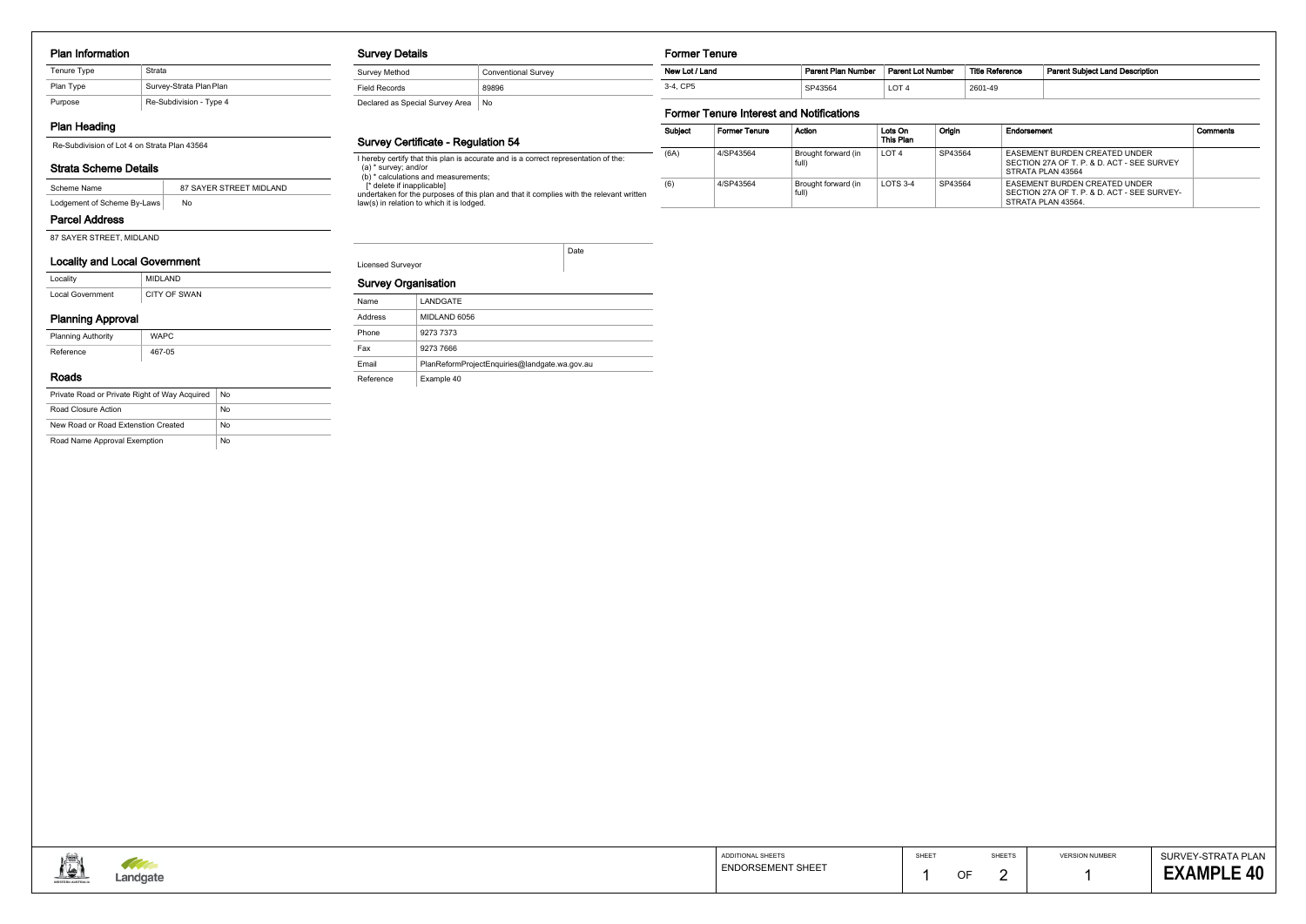#### Plan Information

## Plan Heading

### Strata Scheme Details

#### Parcel Address

87 SAYER STREET, MIDLAND

## Locality and Local Government

| Locality         | MIDI AND     |
|------------------|--------------|
| Local Government | CITY OF SWAN |

# Planning Approval

| ______                    |             |
|---------------------------|-------------|
| <b>Planning Authority</b> | <b>WAPC</b> |
| Reference                 | 467-05      |

#### Roads

| Private Road or Private Right of Way Acquired | No |
|-----------------------------------------------|----|
| Road Closure Action                           | No |
| New Road or Road Extenstion Created           | No |
| Road Name Approval Exemption                  | No |

#### Survey Details

| Survey Method                   | <b>Conventional Survey</b> |
|---------------------------------|----------------------------|
| Field Records                   | 89896                      |
| Declared as Special Survey Area | No                         |

#### Survey Certificate - Regulation 54

I hereby certify that this plan is accurate and is a correct representation of the: (a) \* survey; and/or

(b) \* calculations and measurements;

[\* delete if inapplicable]

undertaken for the purposes of this plan and that it complies with the relevant written law(s) in relation to which it is lodged.

| <b>Licensed Surveyor</b> |  |
|--------------------------|--|

Date

| Name      | LANDGATE                                      |
|-----------|-----------------------------------------------|
| Address   | MIDLAND 6056                                  |
| Phone     | 9273 7373                                     |
| Fax       | 9273 7666                                     |
| Email     | PlanReformProjectEnguiries@landgate.wa.gov.au |
| Reference | Example 40                                    |



#### Former Tenure

| _______________ |                           |                          |                 |                                        |
|-----------------|---------------------------|--------------------------|-----------------|----------------------------------------|
| New Lot / Land  | <b>Parent Plan Number</b> | <b>Parent Lot Number</b> | Title Reference | <b>Parent Subiect Land Description</b> |
| 3-4. CP5        | SP43564                   | LOT <sub>4</sub>         | 2601-49         |                                        |

# Former Tenure Interest and Notifications

| Subject | <b>Former Tenure</b> | Action                       | Lots On<br>This Plan | Origin  | Endorsement                                                                                               | Comments |
|---------|----------------------|------------------------------|----------------------|---------|-----------------------------------------------------------------------------------------------------------|----------|
| (6A)    | 4/SP43564            | Brought forward (in<br>full) | LOT <sub>4</sub>     | SP43564 | EASEMENT BURDEN CREATED UNDER<br>SECTION 27A OF T. P. & D. ACT - SEE SURVEY<br>STRATA PLAN 43564          |          |
| (6)     | 4/SP43564            | Brought forward (in<br>full) | LOTS $3-4$           | SP43564 | <b>EASEMENT BURDEN CREATED UNDER</b><br>SECTION 27A OF T. P. & D. ACT - SEE SURVEY-<br>STRATA PLAN 43564. |          |

| Tenure Type | Strata                  |
|-------------|-------------------------|
| Plan Type   | Survey-Strata Plan Plan |
| Purpose     | Re-Subdivision - Type 4 |

Re-Subdivision of Lot 4 on Strata Plan 43564

| Scheme Name                 | 87 SAYER STREET MIDLAND |
|-----------------------------|-------------------------|
| Lodgement of Scheme By-Laws | No                      |